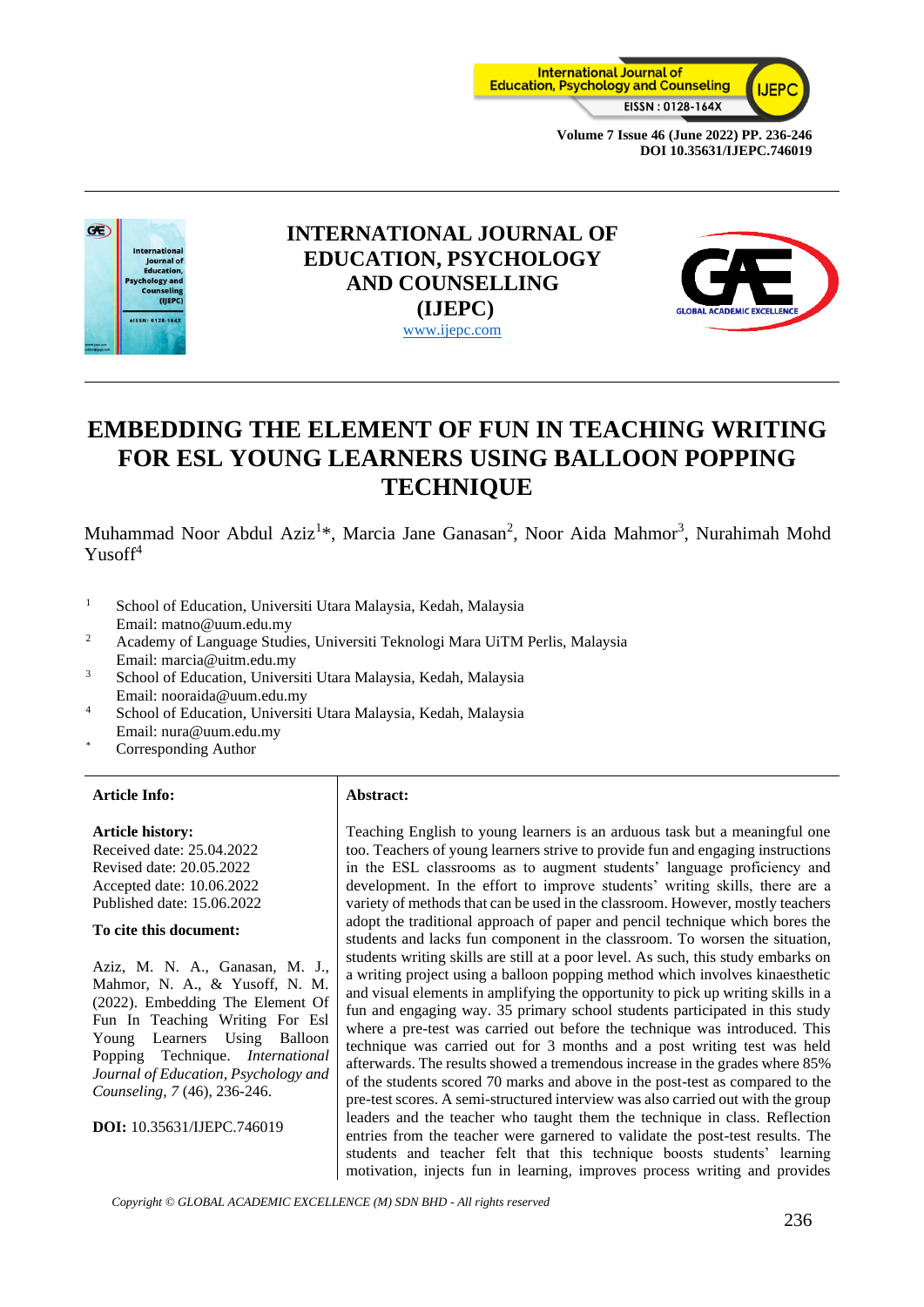



# **INTERNATIONAL JOURNAL OF EDUCATION, PSYCHOLOGY AND COUNSELLING (IJEPC)** [www.ijepc.com](http://www.ijepc.com/)



# **EMBEDDING THE ELEMENT OF FUN IN TEACHING WRITING FOR ESL YOUNG LEARNERS USING BALLOON POPPING TECHNIQUE**

Muhammad Noor Abdul Aziz<sup>1\*</sup>, Marcia Jane Ganasan<sup>2</sup>, Noor Aida Mahmor<sup>3</sup>, Nurahimah Mohd Yusof<sup>4</sup>

- <sup>1</sup> School of Education, Universiti Utara Malaysia, Kedah, Malaysia Email: matno@uum.edu.my
- <sup>2</sup> Academy of Language Studies, Universiti Teknologi Mara UiTM Perlis, Malaysia Email: marcia@uitm.edu.my
- <sup>3</sup> School of Education, Universiti Utara Malaysia, Kedah, Malaysia Email: nooraida@uum.edu.my
- <sup>4</sup> School of Education, Universiti Utara Malaysia, Kedah, Malaysia Email: nura@uum.edu.my
- Corresponding Author

#### **Article Info: Abstract:**

#### **Article history:**

Received date: 25.04.2022 Revised date: 20.05.2022 Accepted date: 10.06.2022 Published date: 15.06.2022

#### **To cite this document:**

Aziz, M. N. A., Ganasan, M. J., Mahmor, N. A., & Yusoff, N. M. (2022). Embedding The Element Of Fun In Teaching Writing For Esl Young Learners Using Balloon Popping Technique. *International Journal of Education, Psychology and Counseling, 7* (46), 236-246.

**DOI:** 10.35631/IJEPC.746019

Teaching English to young learners is an arduous task but a meaningful one too. Teachers of young learners strive to provide fun and engaging instructions in the ESL classrooms as to augment students' language proficiency and development. In the effort to improve students' writing skills, there are a variety of methods that can be used in the classroom. However, mostly teachers adopt the traditional approach of paper and pencil technique which bores the students and lacks fun component in the classroom. To worsen the situation, students writing skills are still at a poor level. As such, this study embarks on a writing project using a balloon popping method which involves kinaesthetic and visual elements in amplifying the opportunity to pick up writing skills in a fun and engaging way. 35 primary school students participated in this study where a pre-test was carried out before the technique was introduced. This technique was carried out for 3 months and a post writing test was held afterwards. The results showed a tremendous increase in the grades where 85% of the students scored 70 marks and above in the post-test as compared to the pre-test scores. A semi-structured interview was also carried out with the group leaders and the teacher who taught them the technique in class. Reflection entries from the teacher were garnered to validate the post-test results. The students and teacher felt that this technique boosts students' learning motivation, injects fun in learning, improves process writing and provides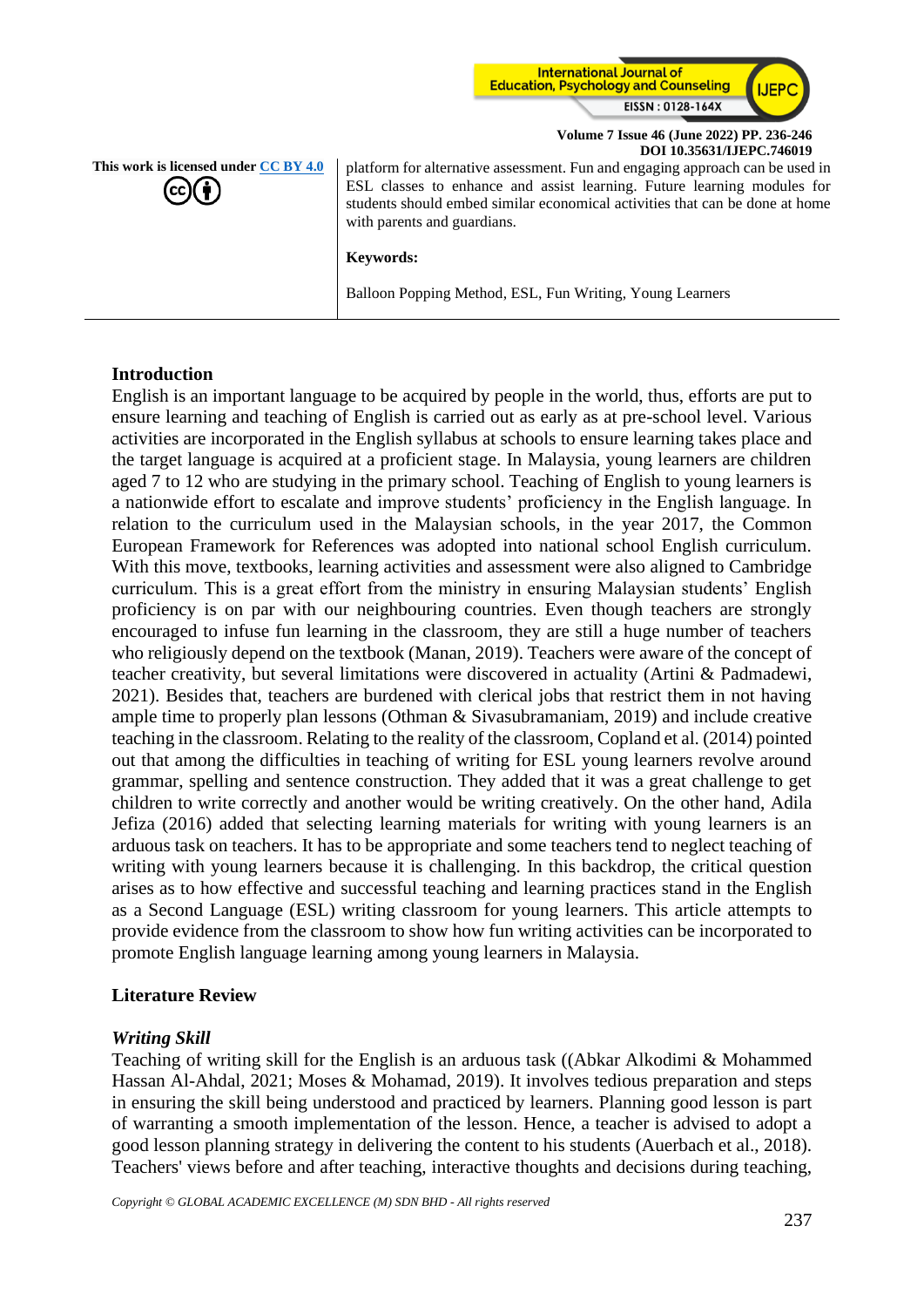

**This work is licensed under [CC BY 4.0](https://creativecommons.org/licenses/by/4.0/?ref=chooser-v1)** platform for alternative assessment. Fun and engaging approach can be used in ESL classes to enhance and assist learning. Future learning modules for students should embed similar economical activities that can be done at home with parents and guardians.

**Keywords:**

Balloon Popping Method, ESL, Fun Writing, Young Learners

#### **Introduction**

English is an important language to be acquired by people in the world, thus, efforts are put to ensure learning and teaching of English is carried out as early as at pre-school level. Various activities are incorporated in the English syllabus at schools to ensure learning takes place and the target language is acquired at a proficient stage. In Malaysia, young learners are children aged 7 to 12 who are studying in the primary school. Teaching of English to young learners is a nationwide effort to escalate and improve students' proficiency in the English language. In relation to the curriculum used in the Malaysian schools, in the year 2017, the Common European Framework for References was adopted into national school English curriculum. With this move, textbooks, learning activities and assessment were also aligned to Cambridge curriculum. This is a great effort from the ministry in ensuring Malaysian students' English proficiency is on par with our neighbouring countries. Even though teachers are strongly encouraged to infuse fun learning in the classroom, they are still a huge number of teachers who religiously depend on the textbook (Manan, 2019). Teachers were aware of the concept of teacher creativity, but several limitations were discovered in actuality (Artini & Padmadewi, 2021). Besides that, teachers are burdened with clerical jobs that restrict them in not having ample time to properly plan lessons (Othman & Sivasubramaniam, 2019) and include creative teaching in the classroom. Relating to the reality of the classroom, Copland et al. (2014) pointed out that among the difficulties in teaching of writing for ESL young learners revolve around grammar, spelling and sentence construction. They added that it was a great challenge to get children to write correctly and another would be writing creatively. On the other hand, Adila Jefiza (2016) added that selecting learning materials for writing with young learners is an arduous task on teachers. It has to be appropriate and some teachers tend to neglect teaching of writing with young learners because it is challenging. In this backdrop, the critical question arises as to how effective and successful teaching and learning practices stand in the English as a Second Language (ESL) writing classroom for young learners. This article attempts to provide evidence from the classroom to show how fun writing activities can be incorporated to promote English language learning among young learners in Malaysia.

#### **Literature Review**

#### *Writing Skill*

Teaching of writing skill for the English is an arduous task ((Abkar Alkodimi & Mohammed Hassan Al-Ahdal, 2021; Moses & Mohamad, 2019). It involves tedious preparation and steps in ensuring the skill being understood and practiced by learners. Planning good lesson is part of warranting a smooth implementation of the lesson. Hence, a teacher is advised to adopt a good lesson planning strategy in delivering the content to his students (Auerbach et al., 2018). Teachers' views before and after teaching, interactive thoughts and decisions during teaching,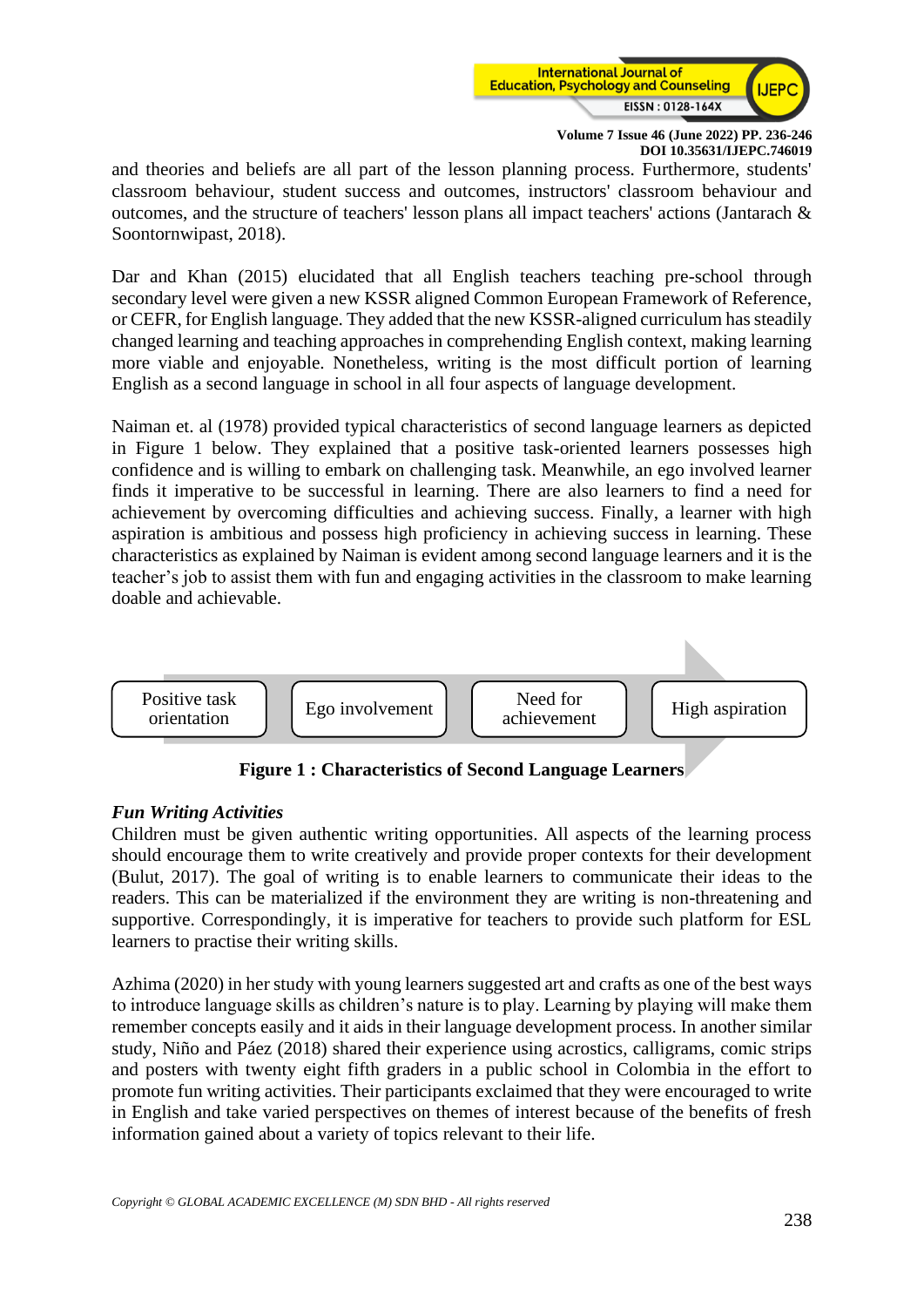

and theories and beliefs are all part of the lesson planning process. Furthermore, students' classroom behaviour, student success and outcomes, instructors' classroom behaviour and outcomes, and the structure of teachers' lesson plans all impact teachers' actions (Jantarach & Soontornwipast, 2018).

Dar and Khan (2015) elucidated that all English teachers teaching pre-school through secondary level were given a new KSSR aligned Common European Framework of Reference, or CEFR, for English language. They added that the new KSSR-aligned curriculum has steadily changed learning and teaching approaches in comprehending English context, making learning more viable and enjoyable. Nonetheless, writing is the most difficult portion of learning English as a second language in school in all four aspects of language development.

Naiman et. al (1978) provided typical characteristics of second language learners as depicted in Figure 1 below. They explained that a positive task-oriented learners possesses high confidence and is willing to embark on challenging task. Meanwhile, an ego involved learner finds it imperative to be successful in learning. There are also learners to find a need for achievement by overcoming difficulties and achieving success. Finally, a learner with high aspiration is ambitious and possess high proficiency in achieving success in learning. These characteristics as explained by Naiman is evident among second language learners and it is the teacher's job to assist them with fun and engaging activities in the classroom to make learning doable and achievable.



**Figure 1 : Characteristics of Second Language Learners**

#### *Fun Writing Activities*

Children must be given authentic writing opportunities. All aspects of the learning process should encourage them to write creatively and provide proper contexts for their development (Bulut, 2017). The goal of writing is to enable learners to communicate their ideas to the readers. This can be materialized if the environment they are writing is non-threatening and supportive. Correspondingly, it is imperative for teachers to provide such platform for ESL learners to practise their writing skills.

Azhima (2020) in her study with young learners suggested art and crafts as one of the best ways to introduce language skills as children's nature is to play. Learning by playing will make them remember concepts easily and it aids in their language development process. In another similar study, Niño and Páez (2018) shared their experience using acrostics, calligrams, comic strips and posters with twenty eight fifth graders in a public school in Colombia in the effort to promote fun writing activities. Their participants exclaimed that they were encouraged to write in English and take varied perspectives on themes of interest because of the benefits of fresh information gained about a variety of topics relevant to their life.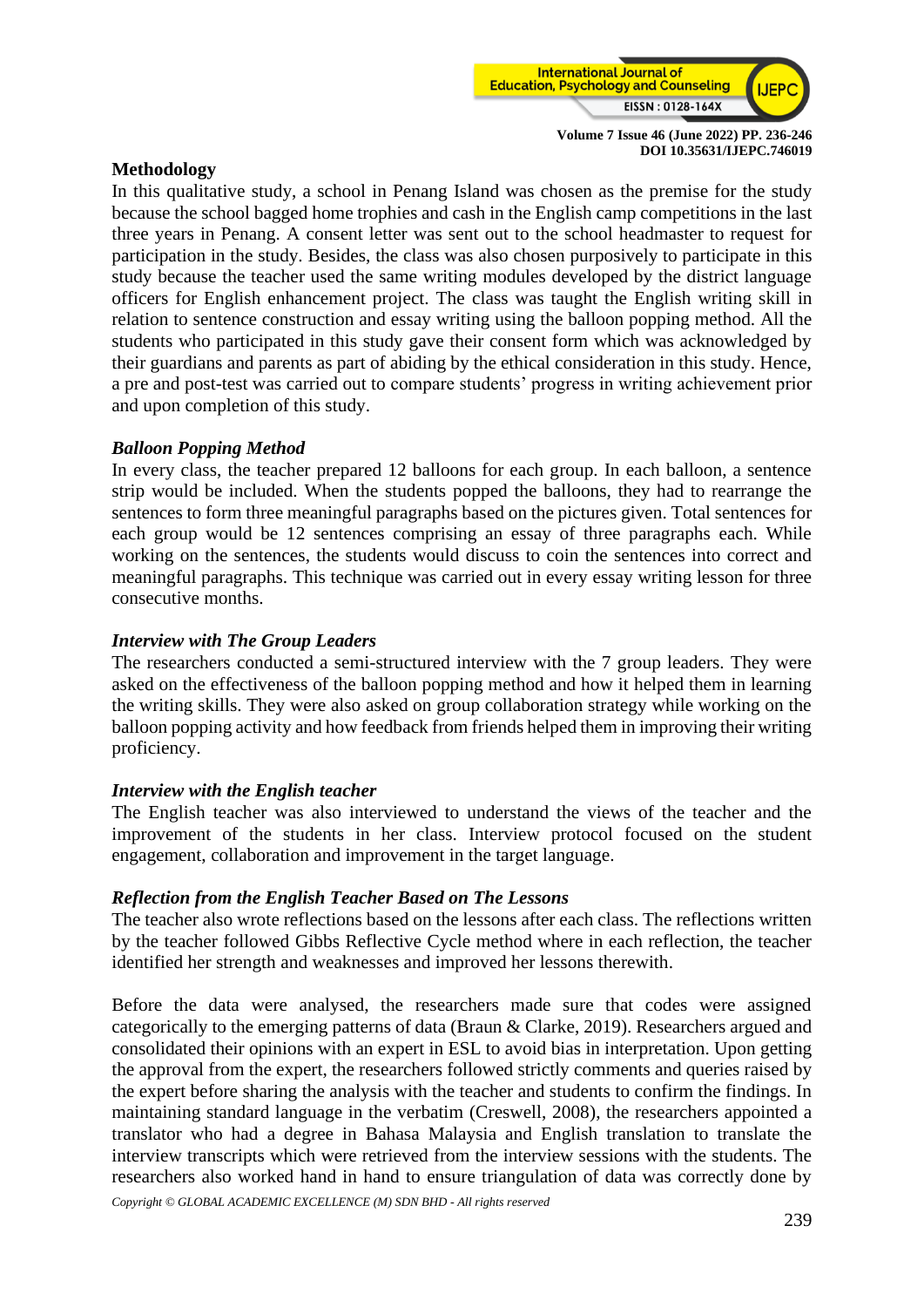

#### **Methodology**

In this qualitative study, a school in Penang Island was chosen as the premise for the study because the school bagged home trophies and cash in the English camp competitions in the last three years in Penang. A consent letter was sent out to the school headmaster to request for participation in the study. Besides, the class was also chosen purposively to participate in this study because the teacher used the same writing modules developed by the district language officers for English enhancement project. The class was taught the English writing skill in relation to sentence construction and essay writing using the balloon popping method. All the students who participated in this study gave their consent form which was acknowledged by their guardians and parents as part of abiding by the ethical consideration in this study. Hence, a pre and post-test was carried out to compare students' progress in writing achievement prior and upon completion of this study.

# *Balloon Popping Method*

In every class, the teacher prepared 12 balloons for each group. In each balloon, a sentence strip would be included. When the students popped the balloons, they had to rearrange the sentences to form three meaningful paragraphs based on the pictures given. Total sentences for each group would be 12 sentences comprising an essay of three paragraphs each. While working on the sentences, the students would discuss to coin the sentences into correct and meaningful paragraphs. This technique was carried out in every essay writing lesson for three consecutive months.

# *Interview with The Group Leaders*

The researchers conducted a semi-structured interview with the 7 group leaders. They were asked on the effectiveness of the balloon popping method and how it helped them in learning the writing skills. They were also asked on group collaboration strategy while working on the balloon popping activity and how feedback from friends helped them in improving their writing proficiency.

#### *Interview with the English teacher*

The English teacher was also interviewed to understand the views of the teacher and the improvement of the students in her class. Interview protocol focused on the student engagement, collaboration and improvement in the target language.

#### *Reflection from the English Teacher Based on The Lessons*

The teacher also wrote reflections based on the lessons after each class. The reflections written by the teacher followed Gibbs Reflective Cycle method where in each reflection, the teacher identified her strength and weaknesses and improved her lessons therewith.

Before the data were analysed, the researchers made sure that codes were assigned categorically to the emerging patterns of data (Braun & Clarke, 2019). Researchers argued and consolidated their opinions with an expert in ESL to avoid bias in interpretation. Upon getting the approval from the expert, the researchers followed strictly comments and queries raised by the expert before sharing the analysis with the teacher and students to confirm the findings. In maintaining standard language in the verbatim (Creswell, 2008), the researchers appointed a translator who had a degree in Bahasa Malaysia and English translation to translate the interview transcripts which were retrieved from the interview sessions with the students. The researchers also worked hand in hand to ensure triangulation of data was correctly done by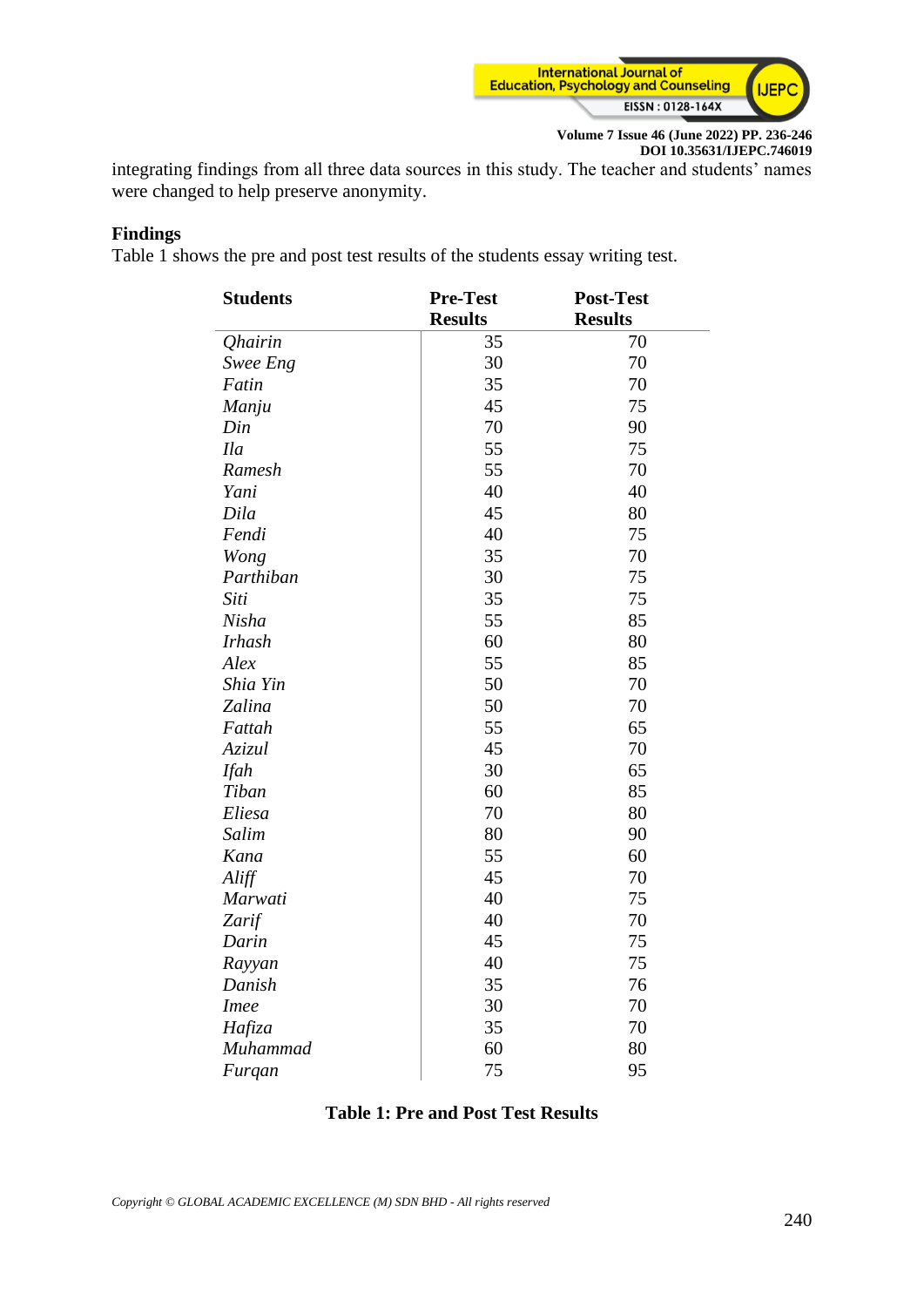

integrating findings from all three data sources in this study. The teacher and students' names were changed to help preserve anonymity.

# **Findings**

Table 1 shows the pre and post test results of the students essay writing test.

| <b>Students</b>       | <b>Pre-Test</b> | <b>Post-Test</b> |
|-----------------------|-----------------|------------------|
|                       | <b>Results</b>  | <b>Results</b>   |
| <i><b>Qhairin</b></i> | 35              | 70               |
| Swee Eng              | 30              | 70               |
| Fatin                 | 35              | 70               |
| Manju                 | 45              | 75               |
| Din                   | 70              | 90               |
| <b>Ila</b>            | 55              | 75               |
| Ramesh                | 55              | 70               |
| Yani                  | 40              | 40               |
| Dila                  | 45              | 80               |
| Fendi                 | 40              | 75               |
| Wong                  | 35              | 70               |
| Parthiban             | 30              | 75               |
| Siti                  | 35              | 75               |
| Nisha                 | 55              | 85               |
| <b>Irhash</b>         | 60              | 80               |
| Alex                  | 55              | 85               |
| Shia Yin              | 50              | 70               |
| Zalina                | 50              | 70               |
| Fattah                | 55              | 65               |
| Azizul                | 45              | 70               |
| <b>Ifah</b>           | 30              | 65               |
| Tiban                 | 60              | 85               |
| Eliesa                | 70              | 80               |
| Salim                 | 80              | 90               |
| Kana                  | 55              | 60               |
| Aliff                 | 45              | 70               |
| Marwati               | 40              | 75               |
| Zarif                 | 40              | 70               |
| Darin                 | 45              | 75               |
| Rayyan                | 40              | 75               |
| Danish                | 35              | 76               |
| <b>Imee</b>           | 30              | 70               |
| Hafiza                | 35              | 70               |
| Muhammad              | 60              | 80               |
| Furqan                | 75              | 95               |

#### **Table 1: Pre and Post Test Results**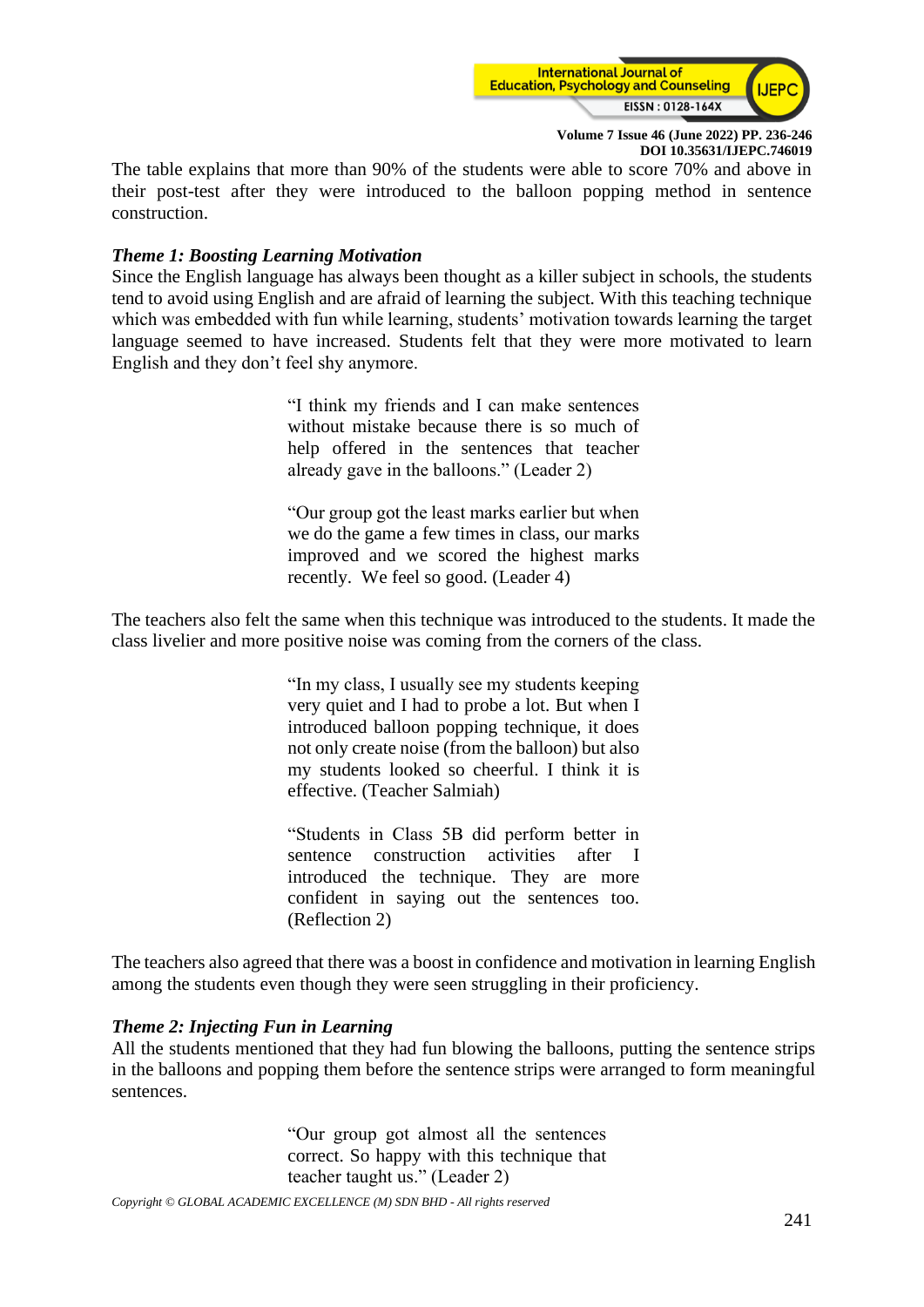

The table explains that more than 90% of the students were able to score 70% and above in their post-test after they were introduced to the balloon popping method in sentence construction.

#### *Theme 1: Boosting Learning Motivation*

Since the English language has always been thought as a killer subject in schools, the students tend to avoid using English and are afraid of learning the subject. With this teaching technique which was embedded with fun while learning, students' motivation towards learning the target language seemed to have increased. Students felt that they were more motivated to learn English and they don't feel shy anymore.

> "I think my friends and I can make sentences without mistake because there is so much of help offered in the sentences that teacher already gave in the balloons." (Leader 2)

> "Our group got the least marks earlier but when we do the game a few times in class, our marks improved and we scored the highest marks recently. We feel so good. (Leader 4)

The teachers also felt the same when this technique was introduced to the students. It made the class livelier and more positive noise was coming from the corners of the class.

> "In my class, I usually see my students keeping very quiet and I had to probe a lot. But when I introduced balloon popping technique, it does not only create noise (from the balloon) but also my students looked so cheerful. I think it is effective. (Teacher Salmiah)

> "Students in Class 5B did perform better in sentence construction activities after I introduced the technique. They are more confident in saying out the sentences too. (Reflection 2)

The teachers also agreed that there was a boost in confidence and motivation in learning English among the students even though they were seen struggling in their proficiency.

#### *Theme 2: Injecting Fun in Learning*

All the students mentioned that they had fun blowing the balloons, putting the sentence strips in the balloons and popping them before the sentence strips were arranged to form meaningful sentences.

> "Our group got almost all the sentences correct. So happy with this technique that teacher taught us." (Leader 2)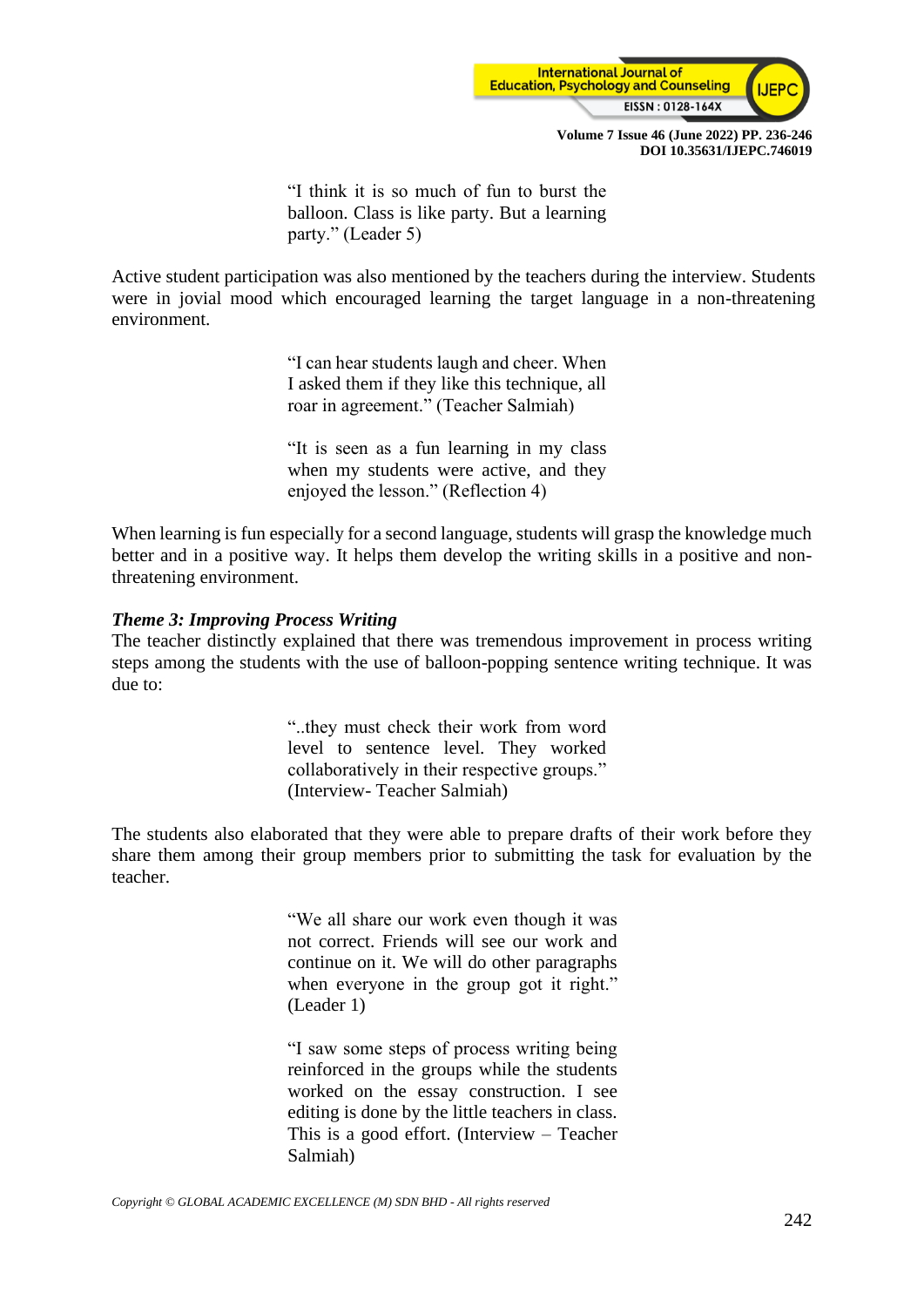

"I think it is so much of fun to burst the balloon. Class is like party. But a learning party." (Leader 5)

Active student participation was also mentioned by the teachers during the interview. Students were in jovial mood which encouraged learning the target language in a non-threatening environment.

> "I can hear students laugh and cheer. When I asked them if they like this technique, all roar in agreement." (Teacher Salmiah)

> "It is seen as a fun learning in my class when my students were active, and they enjoyed the lesson." (Reflection 4)

When learning is fun especially for a second language, students will grasp the knowledge much better and in a positive way. It helps them develop the writing skills in a positive and nonthreatening environment.

#### *Theme 3: Improving Process Writing*

The teacher distinctly explained that there was tremendous improvement in process writing steps among the students with the use of balloon-popping sentence writing technique. It was due to:

> "..they must check their work from word level to sentence level. They worked collaboratively in their respective groups." (Interview- Teacher Salmiah)

The students also elaborated that they were able to prepare drafts of their work before they share them among their group members prior to submitting the task for evaluation by the teacher.

> "We all share our work even though it was not correct. Friends will see our work and continue on it. We will do other paragraphs when everyone in the group got it right." (Leader 1)

> "I saw some steps of process writing being reinforced in the groups while the students worked on the essay construction. I see editing is done by the little teachers in class. This is a good effort. (Interview – Teacher Salmiah)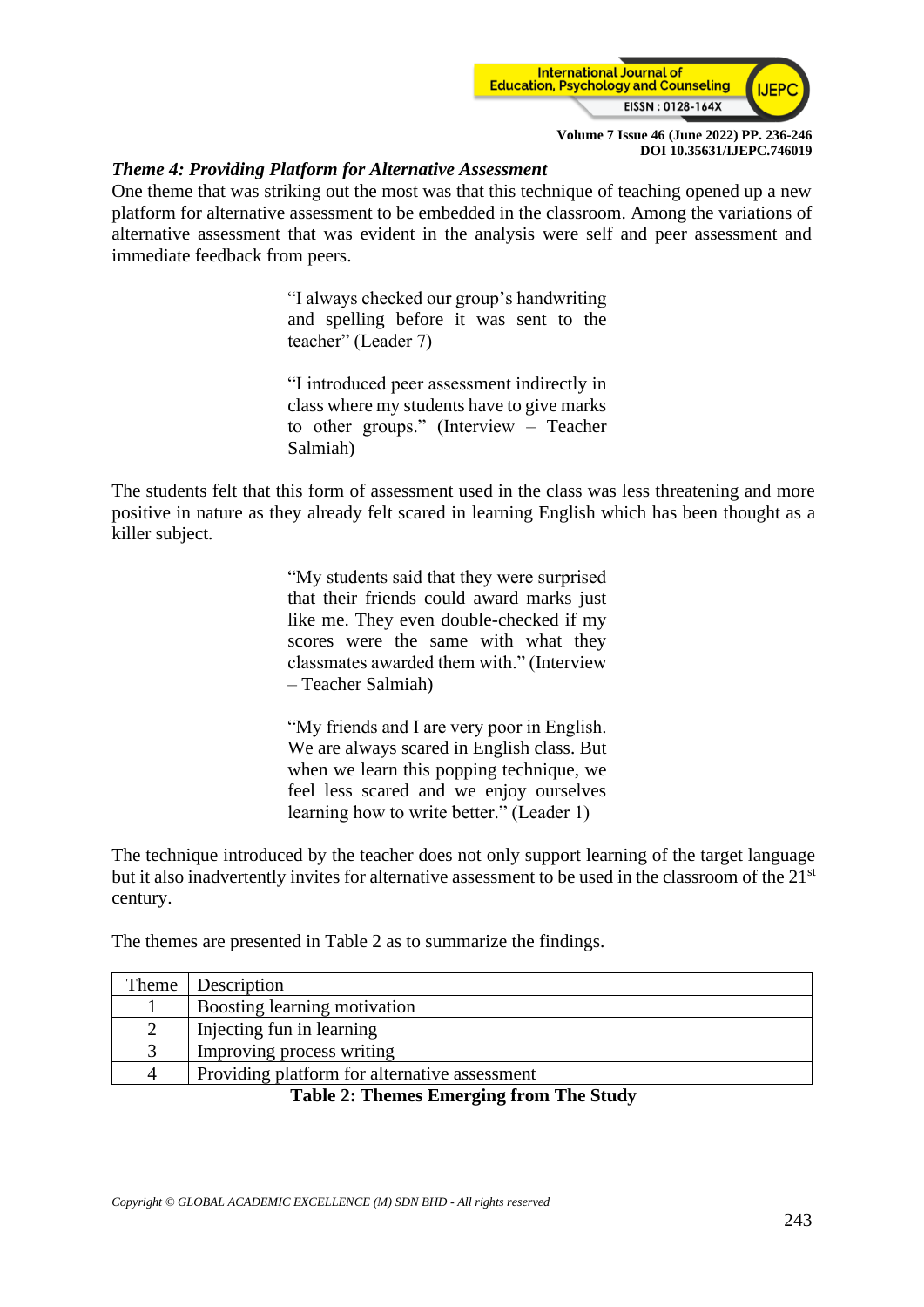

#### *Theme 4: Providing Platform for Alternative Assessment*

One theme that was striking out the most was that this technique of teaching opened up a new platform for alternative assessment to be embedded in the classroom. Among the variations of alternative assessment that was evident in the analysis were self and peer assessment and immediate feedback from peers.

> "I always checked our group's handwriting and spelling before it was sent to the teacher" (Leader 7)

> "I introduced peer assessment indirectly in class where my students have to give marks to other groups." (Interview – Teacher Salmiah)

The students felt that this form of assessment used in the class was less threatening and more positive in nature as they already felt scared in learning English which has been thought as a killer subject.

> "My students said that they were surprised that their friends could award marks just like me. They even double-checked if my scores were the same with what they classmates awarded them with." (Interview – Teacher Salmiah)

> "My friends and I are very poor in English. We are always scared in English class. But when we learn this popping technique, we feel less scared and we enjoy ourselves learning how to write better." (Leader 1)

The technique introduced by the teacher does not only support learning of the target language but it also inadvertently invites for alternative assessment to be used in the classroom of the 21<sup>st</sup> century.

The themes are presented in Table 2 as to summarize the findings.

| Theme | <b>Description</b>                            |
|-------|-----------------------------------------------|
|       | Boosting learning motivation                  |
|       | Injecting fun in learning                     |
|       | Improving process writing                     |
| 4     | Providing platform for alternative assessment |
|       | $\sim$<br>$\sim$ $\sim$ $\sim$                |

**Table 2: Themes Emerging from The Study**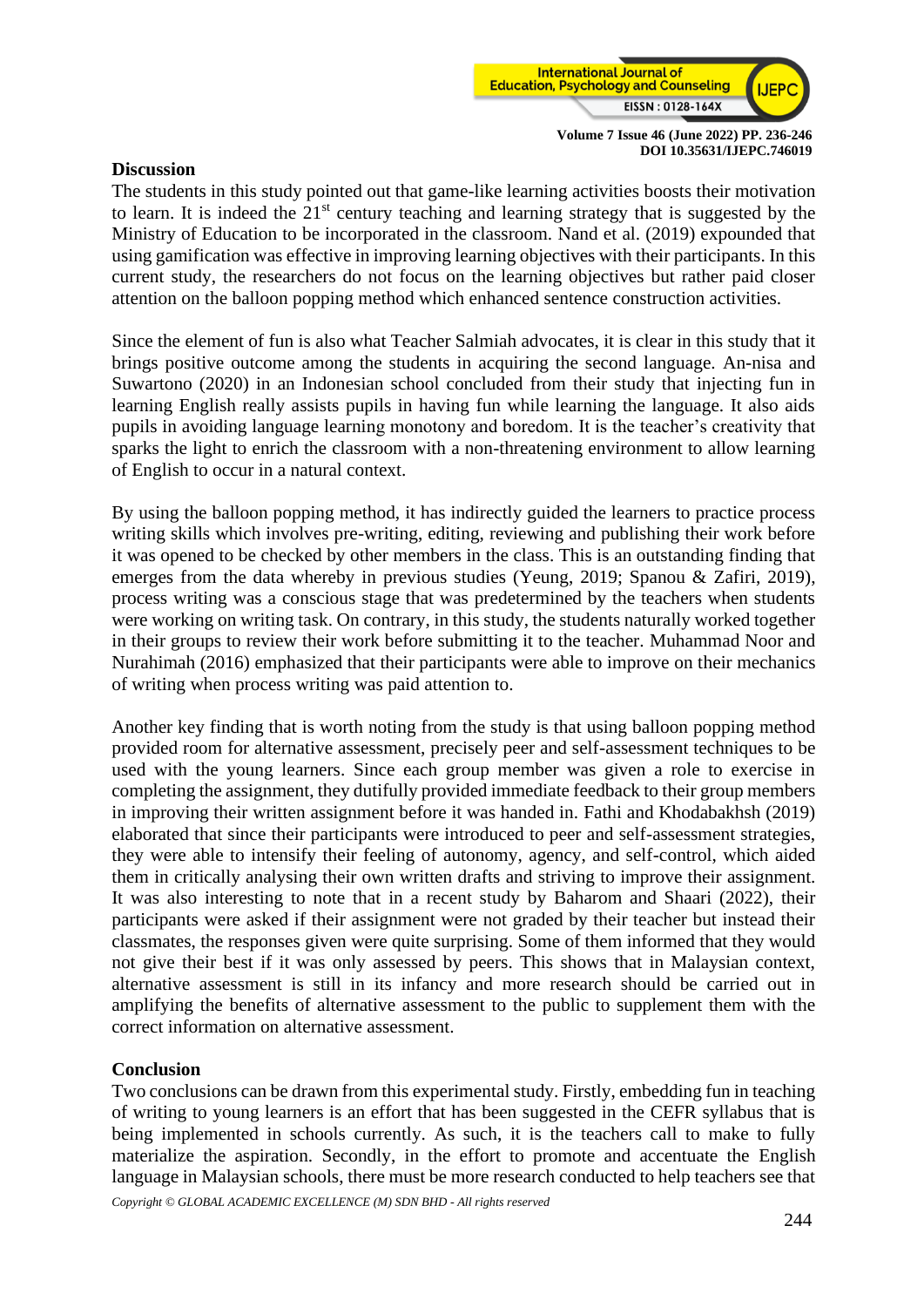

#### **Discussion**

The students in this study pointed out that game-like learning activities boosts their motivation to learn. It is indeed the 21st century teaching and learning strategy that is suggested by the Ministry of Education to be incorporated in the classroom. Nand et al. (2019) expounded that using gamification was effective in improving learning objectives with their participants. In this current study, the researchers do not focus on the learning objectives but rather paid closer attention on the balloon popping method which enhanced sentence construction activities.

Since the element of fun is also what Teacher Salmiah advocates, it is clear in this study that it brings positive outcome among the students in acquiring the second language. An-nisa and Suwartono (2020) in an Indonesian school concluded from their study that injecting fun in learning English really assists pupils in having fun while learning the language. It also aids pupils in avoiding language learning monotony and boredom. It is the teacher's creativity that sparks the light to enrich the classroom with a non-threatening environment to allow learning of English to occur in a natural context.

By using the balloon popping method, it has indirectly guided the learners to practice process writing skills which involves pre-writing, editing, reviewing and publishing their work before it was opened to be checked by other members in the class. This is an outstanding finding that emerges from the data whereby in previous studies (Yeung, 2019; Spanou & Zafiri, 2019), process writing was a conscious stage that was predetermined by the teachers when students were working on writing task. On contrary, in this study, the students naturally worked together in their groups to review their work before submitting it to the teacher. Muhammad Noor and Nurahimah (2016) emphasized that their participants were able to improve on their mechanics of writing when process writing was paid attention to.

Another key finding that is worth noting from the study is that using balloon popping method provided room for alternative assessment, precisely peer and self-assessment techniques to be used with the young learners. Since each group member was given a role to exercise in completing the assignment, they dutifully provided immediate feedback to their group members in improving their written assignment before it was handed in. Fathi and Khodabakhsh (2019) elaborated that since their participants were introduced to peer and self-assessment strategies, they were able to intensify their feeling of autonomy, agency, and self-control, which aided them in critically analysing their own written drafts and striving to improve their assignment. It was also interesting to note that in a recent study by Baharom and Shaari (2022), their participants were asked if their assignment were not graded by their teacher but instead their classmates, the responses given were quite surprising. Some of them informed that they would not give their best if it was only assessed by peers. This shows that in Malaysian context, alternative assessment is still in its infancy and more research should be carried out in amplifying the benefits of alternative assessment to the public to supplement them with the correct information on alternative assessment.

#### **Conclusion**

Two conclusions can be drawn from this experimental study. Firstly, embedding fun in teaching of writing to young learners is an effort that has been suggested in the CEFR syllabus that is being implemented in schools currently. As such, it is the teachers call to make to fully materialize the aspiration. Secondly, in the effort to promote and accentuate the English language in Malaysian schools, there must be more research conducted to help teachers see that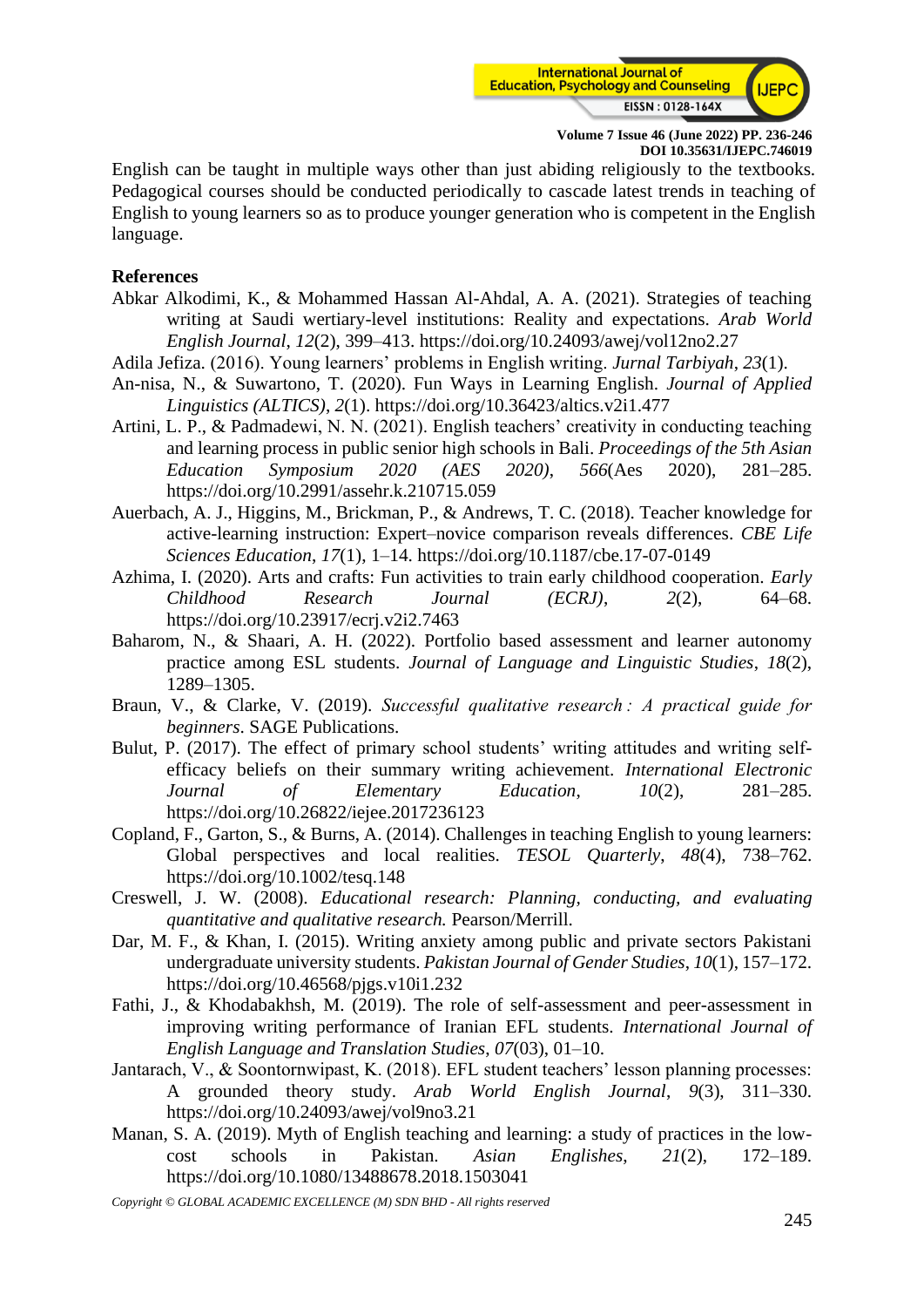

English can be taught in multiple ways other than just abiding religiously to the textbooks. Pedagogical courses should be conducted periodically to cascade latest trends in teaching of English to young learners so as to produce younger generation who is competent in the English language.

#### **References**

- Abkar Alkodimi, K., & Mohammed Hassan Al-Ahdal, A. A. (2021). Strategies of teaching writing at Saudi wertiary-level institutions: Reality and expectations. *Arab World English Journal*, *12*(2), 399–413. https://doi.org/10.24093/awej/vol12no2.27
- Adila Jefiza. (2016). Young learners' problems in English writing. *Jurnal Tarbiyah*, *23*(1).
- An-nisa, N., & Suwartono, T. (2020). Fun Ways in Learning English. *Journal of Applied Linguistics (ALTICS)*, *2*(1). https://doi.org/10.36423/altics.v2i1.477
- Artini, L. P., & Padmadewi, N. N. (2021). English teachers' creativity in conducting teaching and learning process in public senior high schools in Bali. *Proceedings of the 5th Asian Education Symposium 2020 (AES 2020)*, *566*(Aes 2020), 281–285. https://doi.org/10.2991/assehr.k.210715.059
- Auerbach, A. J., Higgins, M., Brickman, P., & Andrews, T. C. (2018). Teacher knowledge for active-learning instruction: Expert–novice comparison reveals differences. *CBE Life Sciences Education*, *17*(1), 1–14. https://doi.org/10.1187/cbe.17-07-0149
- Azhima, I. (2020). Arts and crafts: Fun activities to train early childhood cooperation. *Early Childhood Research Journal (ECRJ)*, *2*(2), 64–68. https://doi.org/10.23917/ecrj.v2i2.7463
- Baharom, N., & Shaari, A. H. (2022). Portfolio based assessment and learner autonomy practice among ESL students. *Journal of Language and Linguistic Studies*, *18*(2), 1289–1305.
- Braun, V., & Clarke, V. (2019). *Successful qualitative research : A practical guide for beginners*. SAGE Publications.
- Bulut, P. (2017). The effect of primary school students' writing attitudes and writing selfefficacy beliefs on their summary writing achievement. *International Electronic Journal of Elementary Education*, *10*(2), 281–285. https://doi.org/10.26822/iejee.2017236123
- Copland, F., Garton, S., & Burns, A. (2014). Challenges in teaching English to young learners: Global perspectives and local realities. *TESOL Quarterly*, *48*(4), 738–762. https://doi.org/10.1002/tesq.148
- Creswell, J. W. (2008). *Educational research: Planning, conducting, and evaluating quantitative and qualitative research.* Pearson/Merrill.
- Dar, M. F., & Khan, I. (2015). Writing anxiety among public and private sectors Pakistani undergraduate university students. *Pakistan Journal of Gender Studies*, *10*(1), 157–172. https://doi.org/10.46568/pjgs.v10i1.232
- Fathi, J., & Khodabakhsh, M. (2019). The role of self-assessment and peer-assessment in improving writing performance of Iranian EFL students. *International Journal of English Language and Translation Studies*, *07*(03), 01–10.
- Jantarach, V., & Soontornwipast, K. (2018). EFL student teachers' lesson planning processes: A grounded theory study. *Arab World English Journal*, *9*(3), 311–330. https://doi.org/10.24093/awej/vol9no3.21
- Manan, S. A. (2019). Myth of English teaching and learning: a study of practices in the lowcost schools in Pakistan. *Asian Englishes*, *21*(2), 172–189. https://doi.org/10.1080/13488678.2018.1503041

*Copyright © GLOBAL ACADEMIC EXCELLENCE (M) SDN BHD - All rights reserved*